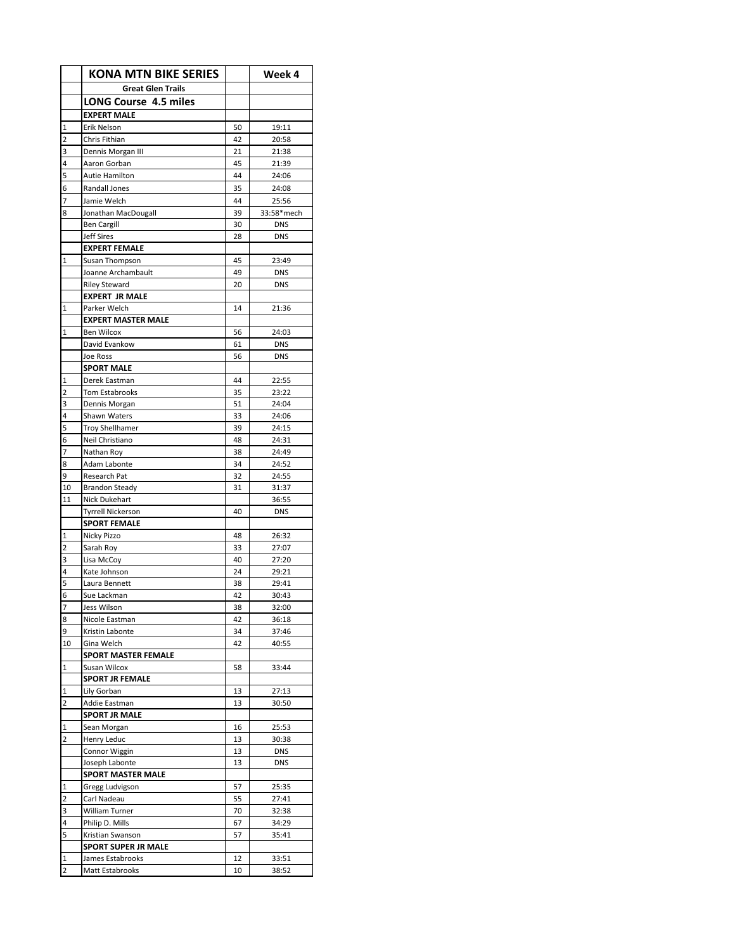|             | <b>KONA MTN BIKE SERIES</b>                |          | Week 4                   |
|-------------|--------------------------------------------|----------|--------------------------|
|             | <b>Great Glen Trails</b>                   |          |                          |
|             | <b>LONG Course 4.5 miles</b>               |          |                          |
|             | <b>EXPERT MALE</b>                         |          |                          |
| 1           | Erik Nelson                                | 50       | 19:11                    |
| 2           | Chris Fithian                              | 42       | 20:58                    |
| 3           | Dennis Morgan III                          | 21       | 21:38                    |
| 4           | Aaron Gorban                               | 45       | 21:39                    |
| 5           | Autie Hamilton                             | 44       | 24:06                    |
| 6           | Randall Jones                              | 35       | 24:08                    |
| 7           | Jamie Welch                                | 44       | 25:56                    |
| 8           | Jonathan MacDougall                        | 39       | 33:58*mech               |
|             | <b>Ben Cargill</b>                         | 30       | <b>DNS</b>               |
|             | <b>Jeff Sires</b>                          | 28       | <b>DNS</b>               |
|             | <b>EXPERT FEMALE</b>                       |          |                          |
| $\mathbf 1$ | Susan Thompson                             | 45       | 23:49                    |
|             | Joanne Archambault<br><b>Riley Steward</b> | 49<br>20 | <b>DNS</b><br><b>DNS</b> |
|             | <b>EXPERT JR MALE</b>                      |          |                          |
| 1           | Parker Welch                               | 14       | 21:36                    |
|             | <b>EXPERT MASTER MALE</b>                  |          |                          |
| 1           | <b>Ben Wilcox</b>                          | 56       | 24:03                    |
|             | David Evankow                              | 61       | <b>DNS</b>               |
|             | Joe Ross                                   | 56       | <b>DNS</b>               |
|             | <b>SPORT MALE</b>                          |          |                          |
| 1           | Derek Eastman                              | 44       | 22:55                    |
| 2           | <b>Tom Estabrooks</b>                      | 35       | 23:22                    |
| 3           | Dennis Morgan                              | 51       | 24:04                    |
| 4           | Shawn Waters                               | 33       | 24:06                    |
| 5           | <b>Troy Shellhamer</b>                     | 39       | 24:15                    |
| 6           | Neil Christiano                            | 48       | 24:31                    |
| 7           | Nathan Roy                                 | 38       | 24:49                    |
| 8<br>9      | Adam Labonte<br>Research Pat               | 34<br>32 | 24:52<br>24:55           |
| 10          | <b>Brandon Steady</b>                      | 31       | 31:37                    |
| 11          | Nick Dukehart                              |          | 36:55                    |
|             | <b>Tyrrell Nickerson</b>                   | 40       | <b>DNS</b>               |
|             | <b>SPORT FEMALE</b>                        |          |                          |
| 1           | Nicky Pizzo                                | 48       | 26:32                    |
| 2           | Sarah Roy                                  | 33       | 27:07                    |
| 3           | Lisa McCoy                                 | 40       | 27:20                    |
| 4           | Kate Johnson                               | 24       | 29:21                    |
| 5           | Laura Bennett                              | 38       | 29:41                    |
| 6           | Sue Lackman                                | 42       | 30:43                    |
| 7           | Jess Wilson                                | 38       | 32:00                    |
| 8           | Nicole Eastman                             | 42       | 36:18                    |
| 9           | Kristin Labonte<br>Gina Welch              | 34<br>42 | 37:46                    |
| 10          |                                            |          | 40:55                    |
| 1           | SPORT MASTER FEMALE<br>Susan Wilcox        | 58       | 33:44                    |
|             | <b>SPORT JR FEMALE</b>                     |          |                          |
| 1           | Lily Gorban                                | 13       | 27:13                    |
| 2           | Addie Eastman                              | 13       | 30:50                    |
|             | <b>SPORT JR MALE</b>                       |          |                          |
| 1           | Sean Morgan                                | 16       | 25:53                    |
| 2           | Henry Leduc                                | 13       | 30:38                    |
|             | Connor Wiggin                              | 13       | <b>DNS</b>               |
|             | Joseph Labonte                             | 13       | <b>DNS</b>               |
|             | <b>SPORT MASTER MALE</b>                   |          |                          |
| 1           | Gregg Ludvigson                            | 57       | 25:35                    |
| 2           | Carl Nadeau                                | 55       | 27:41                    |
| 3           | William Turner                             | 70       | 32:38                    |
| 4<br>5      | Philip D. Mills                            | 67<br>57 | 34:29<br>35:41           |
|             | Kristian Swanson<br>SPORT SUPER JR MALE    |          |                          |
| 1           | James Estabrooks                           | 12       | 33:51                    |
| 2           | Matt Estabrooks                            | 10       | 38:52                    |
|             |                                            |          |                          |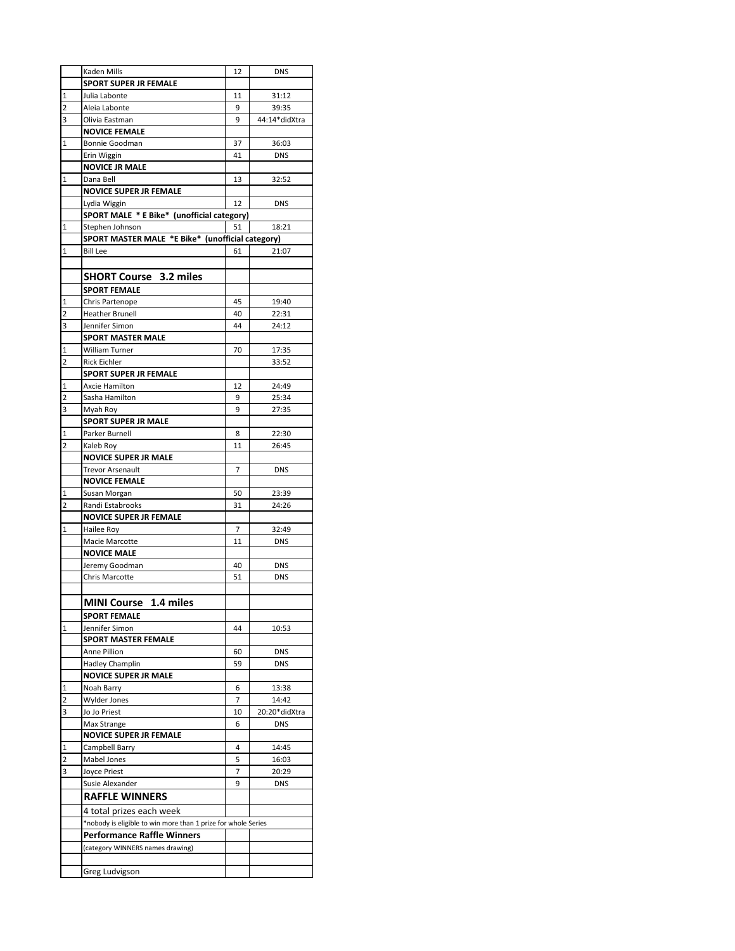|                | Kaden Mills                                                   | 12 | <b>DNS</b>    |
|----------------|---------------------------------------------------------------|----|---------------|
|                | <b>SPORT SUPER JR FEMALE</b>                                  |    |               |
| 1              | Julia Labonte                                                 | 11 | 31:12         |
| 2              | Aleia Labonte                                                 | 9  | 39:35         |
| 3              | Olivia Eastman                                                | 9  | 44:14*didXtra |
|                | <b>NOVICE FEMALE</b>                                          |    |               |
| 1              | Bonnie Goodman                                                | 37 | 36:03         |
|                | Erin Wiggin                                                   | 41 | <b>DNS</b>    |
|                | <b>NOVICE JR MALE</b>                                         |    |               |
| 1              | Dana Bell                                                     | 13 | 32:52         |
|                | <b>NOVICE SUPER JR FEMALE</b>                                 |    |               |
|                | Lydia Wiggin                                                  | 12 | <b>DNS</b>    |
|                | SPORT MALE * E Bike* (unofficial category)                    |    |               |
| 1              | Stephen Johnson                                               | 51 | 18:21         |
|                | SPORT MASTER MALE *E Bike* (unofficial category)              |    |               |
| $\mathbf{1}$   | <b>Bill Lee</b>                                               | 61 | 21:07         |
|                |                                                               |    |               |
|                | <b>SHORT Course 3.2 miles</b>                                 |    |               |
|                |                                                               |    |               |
|                | <b>SPORT FEMALE</b>                                           |    |               |
| 1              | Chris Partenope                                               | 45 | 19:40         |
| 2              | <b>Heather Brunell</b>                                        | 40 | 22:31         |
| 3              | Jennifer Simon                                                | 44 | 24:12         |
|                | <b>SPORT MASTER MALE</b>                                      |    |               |
| 1              | <b>William Turner</b>                                         | 70 | 17:35         |
| 2              | Rick Eichler                                                  |    | 33:52         |
|                | <b>SPORT SUPER JR FEMALE</b>                                  |    |               |
| $\mathbf{1}$   | Axcie Hamilton                                                | 12 | 24:49         |
| 2              | Sasha Hamilton                                                | 9  | 25:34         |
| 3              | Myah Roy                                                      | 9  | 27:35         |
|                | <b>SPORT SUPER JR MALE</b>                                    |    |               |
| 1              | Parker Burnell                                                | 8  | 22:30         |
| 2              | Kaleb Roy                                                     | 11 | 26:45         |
|                | <b>NOVICE SUPER JR MALE</b>                                   |    |               |
|                | <b>Trevor Arsenault</b>                                       | 7  | <b>DNS</b>    |
|                | <b>NOVICE FEMALE</b>                                          |    |               |
| 1              | Susan Morgan                                                  | 50 | 23:39         |
| $\overline{2}$ | Randi Estabrooks                                              | 31 | 24:26         |
|                | <b>NOVICE SUPER JR FEMALE</b>                                 |    |               |
| 1              | Hailee Roy                                                    | 7  | 32:49         |
|                | Macie Marcotte                                                | 11 | <b>DNS</b>    |
|                | <b>NOVICE MALE</b>                                            |    |               |
|                | Jeremy Goodman                                                | 40 | DNS           |
|                | Chris Marcotte                                                | 51 | <b>DNS</b>    |
|                |                                                               |    |               |
|                | <b>MINI Course</b><br>1.4 miles                               |    |               |
|                | <b>SPORT FEMALE</b>                                           |    |               |
| 1              | Jennifer Simon                                                | 44 | 10:53         |
|                | <b>SPORT MASTER FEMALE</b>                                    |    |               |
|                | Anne Pillion                                                  | 60 | <b>DNS</b>    |
|                | <b>Hadley Champlin</b>                                        | 59 | <b>DNS</b>    |
|                | <b>NOVICE SUPER JR MALE</b>                                   |    |               |
| 1              | Noah Barry                                                    | 6  | 13:38         |
| 2              | <b>Wylder Jones</b>                                           | 7  | 14:42         |
| 3              | Jo Jo Priest                                                  | 10 | 20:20*didXtra |
|                | Max Strange                                                   | 6  | <b>DNS</b>    |
|                | <b>NOVICE SUPER JR FEMALE</b>                                 |    |               |
| 1              | Campbell Barry                                                | 4  | 14:45         |
| 2              | Mabel Jones                                                   | 5  | 16:03         |
| 3              | Joyce Priest                                                  | 7  | 20:29         |
|                | Susie Alexander                                               | 9  | <b>DNS</b>    |
|                |                                                               |    |               |
|                | <b>RAFFLE WINNERS</b>                                         |    |               |
|                | 4 total prizes each week                                      |    |               |
|                | *nobody is eligible to win more than 1 prize for whole Series |    |               |
|                | <b>Performance Raffle Winners</b>                             |    |               |
|                | (category WINNERS names drawing)                              |    |               |
|                |                                                               |    |               |
|                | Greg Ludvigson                                                |    |               |